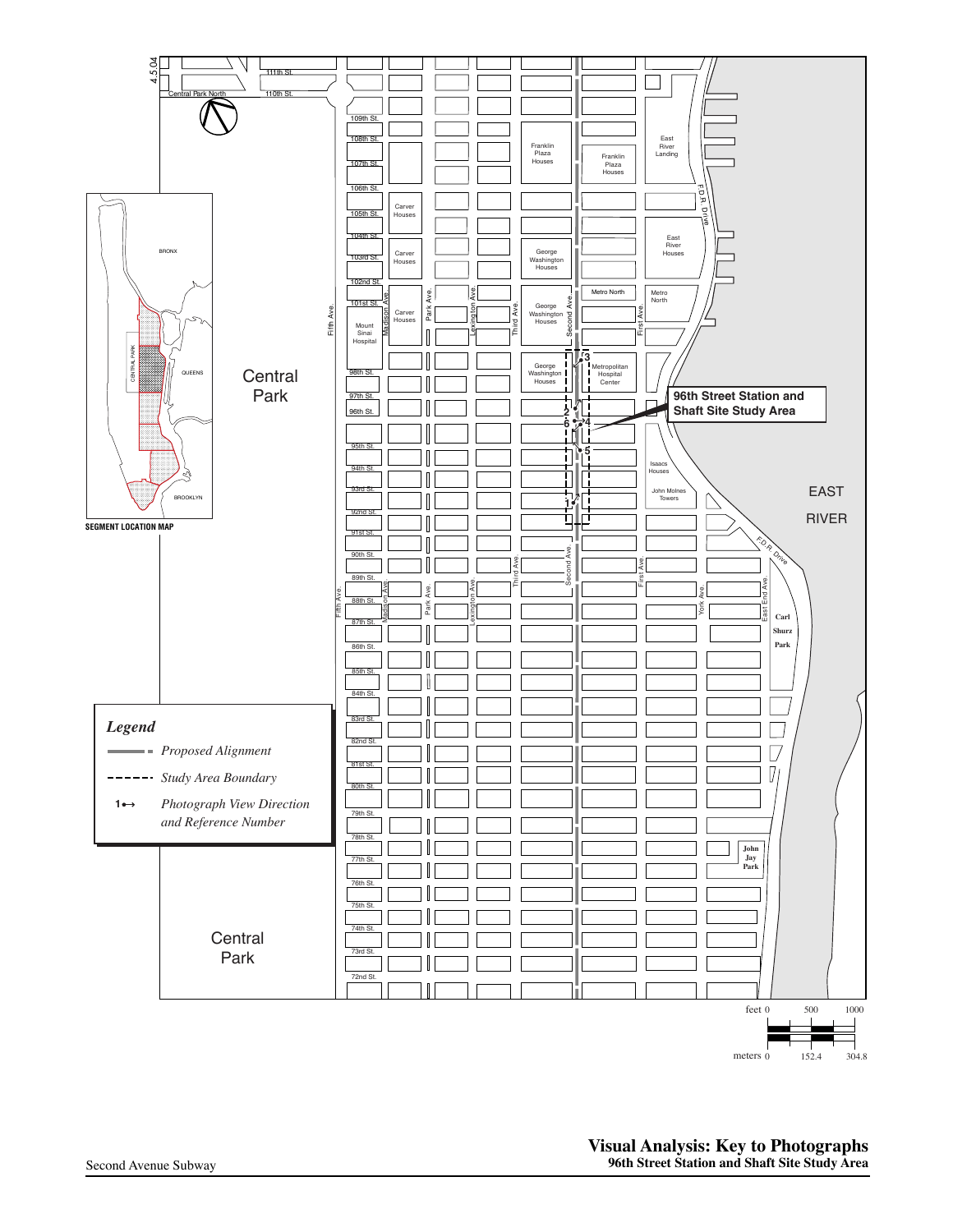

Third Ave.

Lexington Ave.

Madison Ave.